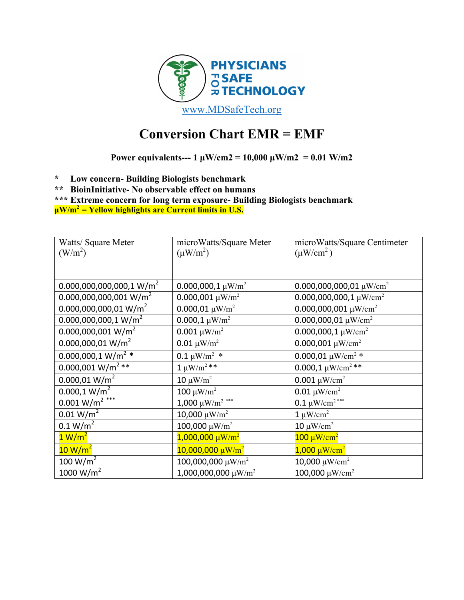

# **Conversion Chart EMR = EMF**

**Power equivalents---**  $1 \mu W/cm2 = 10,000 \mu W/m2 = 0.01 W/m2$ 

**\* Low concern- Building Biologists benchmark**

**\*\* BioinInitiative- No observable effect on humans**

**\*\*\* Extreme concern for long term exposure- Building Biologists benchmark µW/m2 = Yellow highlights are Current limits in U.S.**

| Watts/ Square Meter                  | microWatts/Square Meter              | microWatts/Square Centimeter             |
|--------------------------------------|--------------------------------------|------------------------------------------|
| (W/m <sup>2</sup> )                  | $(\mu W/m^2)$                        | $(\mu W/cm^2)$                           |
|                                      |                                      |                                          |
| $0.000,000,000,000,1 \text{ W/m}^2$  | 0.000,000,1 $\mu$ W/m <sup>2</sup>   | 0.000,000,000,01 $\mu$ W/cm <sup>2</sup> |
| $0.000,000,000,001$ W/m <sup>2</sup> | $0.000,001 \ \mu W/m^2$              | 0.000,000,000,1 $\mu$ W/cm <sup>2</sup>  |
| $0.000,000,000,01 \text{ W/m}^2$     | 0.000,01 $\mu$ W/m <sup>2</sup>      | 0.000,000,001 $\mu$ W/cm <sup>2</sup>    |
| $0.000,000,000,1$ W/m <sup>2</sup>   | $0.000,1 \ \mu W/m^2$                | 0.000,000,01 $\mu$ W/cm <sup>2</sup>     |
| $0.000,000,001$ W/m <sup>2</sup>     | $0.001 \ \mu W/m^2$                  | 0.000,000,1 $\mu$ W/cm <sup>2</sup>      |
| $0.000,000,01$ W/m <sup>2</sup>      | 0.01 $\mu$ W/m <sup>2</sup>          | 0.000,001 $\mu$ W/cm <sup>2</sup>        |
| $0.000,000,1$ W/m <sup>2</sup> *     | $0.1 \mu W/m^2$ *                    | 0.000,01 $\mu$ W/cm <sup>2</sup> *       |
| $0.000,001$ W/m <sup>2</sup> **      | $1 \mu W/m^2$ **                     | 0.000,1 $\mu$ W/cm <sup>2 **</sup>       |
| 0.000,01 W/m <sup>2</sup>            | 10 $\mu$ W/m <sup>2</sup>            | $0.001 \mu W/cm^2$                       |
| 0.000,1 W/m <sup>2</sup>             | 100 $\mu$ W/m <sup>2</sup>           | $0.01 \ \mu W/cm^2$                      |
| $0.001 W/m2$ ***                     | 1,000 $\mu$ W/m <sup>2</sup> ***     | 0.1 $\mu$ W/cm <sup>2***</sup>           |
| 0.01 W/m <sup>2</sup>                | 10,000 $\mu$ W/m <sup>2</sup>        | $1 \mu W/cm^2$                           |
| 0.1 W/m <sup>2</sup>                 | 100,000 $\mu$ W/m <sup>2</sup>       | 10 $\mu$ W/cm <sup>2</sup>               |
| 1 W/m <sup>2</sup>                   | $1,000,000 \mu W/m^2$                | $100 \mu W/cm^2$                         |
| $10 W/m^2$                           | $10,000,000 \mu W/m^2$               | $1,000 \mu W/cm^2$                       |
| 100 $W/m^2$                          | 100,000,000 $\mu$ W/m <sup>2</sup>   | 10,000 μW/cm <sup>2</sup>                |
| $\frac{1000 \text{ W/m}^2}{2}$       | 1,000,000,000 $\mu$ W/m <sup>2</sup> | 100,000 $\mu$ W/cm <sup>2</sup>          |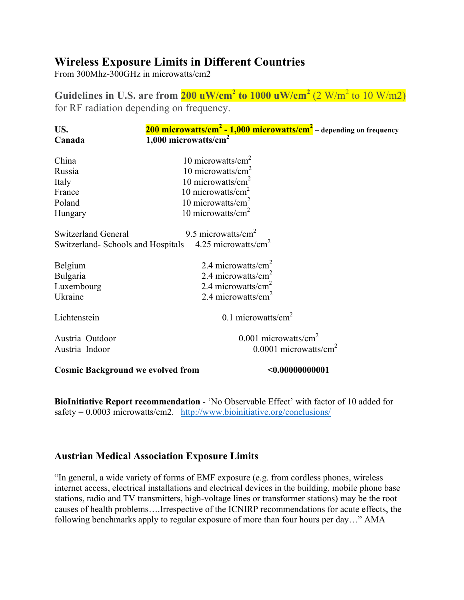# **Wireless Exposure Limits in Different Countries**

From 300Mhz-300GHz in microwatts/cm2

**Guidelines** in U.S. are from  $200 \text{ uW/cm}^2$  to  $1000 \text{ uW/cm}^2$  (2 W/m<sup>2</sup> to  $10 \text{ W/m2}$ ) for RF radiation depending on frequency.

| US.                                      | 200 microwatts/cm <sup>2</sup> - 1,000 microwatts/cm <sup>2</sup> – depending on frequency |  |
|------------------------------------------|--------------------------------------------------------------------------------------------|--|
| Canada                                   | $1,000$ microwatts/cm <sup>2</sup>                                                         |  |
| China                                    | 10 microwatts/ $cm2$                                                                       |  |
| Russia                                   | 10 microwatts/ $\text{cm}^2$                                                               |  |
| Italy                                    | 10 microwatts/ $cm2$                                                                       |  |
| France                                   | 10 microwatts/ $cm2$                                                                       |  |
| Poland                                   | 10 microwatts/ $\text{cm}^2$                                                               |  |
| Hungary                                  | 10 microwatts/ $\text{cm}^2$                                                               |  |
|                                          |                                                                                            |  |
| <b>Switzerland General</b>               | 9.5 microwatts/ $\text{cm}^2$                                                              |  |
| Switzerland-Schools and Hospitals        | 4.25 microwatts/cm <sup>2</sup>                                                            |  |
|                                          |                                                                                            |  |
| Belgium                                  | 2.4 microwatts/ $cm2$                                                                      |  |
| <b>Bulgaria</b>                          | 2.4 microwatts/ $cm2$                                                                      |  |
| Luxembourg                               | 2.4 microwatts/ $cm2$                                                                      |  |
| Ukraine                                  | 2.4 microwatts/ $cm2$                                                                      |  |
| Lichtenstein                             | 0.1 microwatts/ $cm2$                                                                      |  |
|                                          |                                                                                            |  |
| Austria Outdoor                          | $0.001$ microwatts/cm <sup>2</sup>                                                         |  |
| Austria Indoor                           | $0.0001$ microwatts/cm <sup>2</sup>                                                        |  |
| <b>Cosmic Background we evolved from</b> | < 0.00000000001                                                                            |  |

**BioInitiative Report recommendation** - 'No Observable Effect' with factor of 10 added for  $safety = 0.0003$  microwatts/cm2. http://www.bioinitiative.org/conclusions/

# **Austrian Medical Association Exposure Limits**

"In general, a wide variety of forms of EMF exposure (e.g. from cordless phones, wireless internet access, electrical installations and electrical devices in the building, mobile phone base stations, radio and TV transmitters, high-voltage lines or transformer stations) may be the root causes of health problems….Irrespective of the ICNIRP recommendations for acute effects, the following benchmarks apply to regular exposure of more than four hours per day…" AMA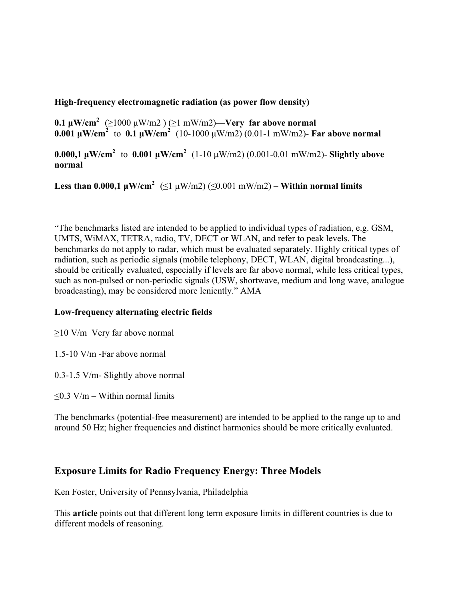#### **High-frequency electromagnetic radiation (as power flow density)**

**0.1 µW/cm<sup>2</sup>** (≥1000 µW/m2 ) (≥1 mW/m2)—**Very far above normal 0.001 µW/cm<sup>2</sup>** to **0.1 µW/cm<sup>2</sup>** (10-1000 µW/m2) (0.01-1 mW/m2)- **Far above normal**

**0.000,1 µW/cm<sup>2</sup>** to **0.001 µW/cm<sup>2</sup>** (1-10 µW/m2) (0.001-0.01 mW/m2)- **Slightly above normal**

**Less than 0.000,1**  $\mu$ **W/cm<sup>2</sup> (≤1**  $\mu$ **W/m2) (≤0.001 mW/m2) – Within normal limits** 

"The benchmarks listed are intended to be applied to individual types of radiation, e.g. GSM, UMTS, WiMAX, TETRA, radio, TV, DECT or WLAN, and refer to peak levels. The benchmarks do not apply to radar, which must be evaluated separately. Highly critical types of radiation, such as periodic signals (mobile telephony, DECT, WLAN, digital broadcasting...), should be critically evaluated, especially if levels are far above normal, while less critical types, such as non-pulsed or non-periodic signals (USW, shortwave, medium and long wave, analogue broadcasting), may be considered more leniently." AMA

#### **Low-frequency alternating electric fields**

 $\geq$ 10 V/m Very far above normal

- 1.5-10 V/m -Far above normal
- 0.3-1.5 V/m- Slightly above normal
- $\leq$ 0.3 V/m Within normal limits

The benchmarks (potential-free measurement) are intended to be applied to the range up to and around 50 Hz; higher frequencies and distinct harmonics should be more critically evaluated.

# **Exposure Limits for Radio Frequency Energy: Three Models**

Ken Foster, University of Pennsylvania, Philadelphia

This **article** points out that different long term exposure limits in different countries is due to different models of reasoning.